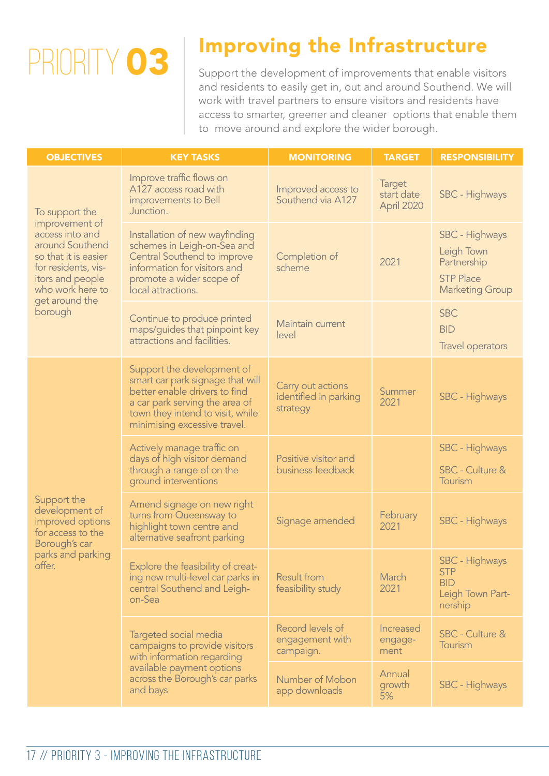## PRIORITY 03

## Improving the Infrastructure

Support the development of improvements that enable visitors and residents to easily get in, out and around Southend. We will work with travel partners to ensure visitors and residents have access to smarter, greener and cleaner options that enable them to move around and explore the wider borough.

| <b>OBJECTIVES</b>                                                                                                                                                                          | <b>KEY TASKS</b>                                                                                                                                                                                      | <b>MONITORING</b>                                      | <b>TARGET</b>                             | <b>RESPONSIBILITY</b>                                                                     |
|--------------------------------------------------------------------------------------------------------------------------------------------------------------------------------------------|-------------------------------------------------------------------------------------------------------------------------------------------------------------------------------------------------------|--------------------------------------------------------|-------------------------------------------|-------------------------------------------------------------------------------------------|
| To support the<br>improvement of<br>access into and<br>around Southend<br>so that it is easier<br>for residents, vis-<br>itors and people<br>who work here to<br>get around the<br>borough | Improve traffic flows on<br>A127 access road with<br>improvements to Bell<br>Junction.                                                                                                                | Improved access to<br>Southend via A127                | <b>Target</b><br>start date<br>April 2020 | SBC - Highways                                                                            |
|                                                                                                                                                                                            | Installation of new wayfinding<br>schemes in Leigh-on-Sea and<br>Central Southend to improve<br>information for visitors and<br>promote a wider scope of<br>local attractions.                        | Completion of<br>scheme                                | 2021                                      | SBC - Highways<br>Leigh Town<br>Partnership<br><b>STP Place</b><br><b>Marketing Group</b> |
|                                                                                                                                                                                            | Continue to produce printed<br>maps/guides that pinpoint key<br>attractions and facilities.                                                                                                           | Maintain current<br>level                              |                                           | <b>SBC</b><br><b>BID</b><br>Travel operators                                              |
| Support the<br>development of<br>improved options<br>for access to the<br>Borough's car<br>parks and parking<br>offer.                                                                     | Support the development of<br>smart car park signage that will<br>better enable drivers to find<br>a car park serving the area of<br>town they intend to visit, while<br>minimising excessive travel. | Carry out actions<br>identified in parking<br>strategy | Summer<br>2021                            | SBC - Highways                                                                            |
|                                                                                                                                                                                            | Actively manage traffic on<br>days of high visitor demand<br>through a range of on the<br>ground interventions                                                                                        | Positive visitor and<br>business feedback              |                                           | SBC - Highways<br>SBC - Culture &<br>Tourism                                              |
|                                                                                                                                                                                            | Amend signage on new right<br>turns from Queensway to<br>highlight town centre and<br>alternative seafront parking                                                                                    | Signage amended                                        | February<br>2021                          | SBC - Highways                                                                            |
|                                                                                                                                                                                            | Explore the feasibility of creat-<br>ing new multi-level car parks in<br>central Southend and Leigh-<br>on-Sea                                                                                        | <b>Result from</b><br>feasibility study                | <b>March</b><br>2021                      | SBC - Highways<br><b>STP</b><br><b>BID</b><br>Leigh Town Part-<br>nership                 |
|                                                                                                                                                                                            | Targeted social media<br>campaigns to provide visitors<br>with information regarding<br>available payment options<br>across the Borough's car parks<br>and bays                                       | Record levels of<br>engagement with<br>campaign.       | Increased<br>engage-<br>ment              | SBC - Culture &<br>Tourism                                                                |
|                                                                                                                                                                                            |                                                                                                                                                                                                       | Number of Mobon<br>app downloads                       | Annual<br>growth<br>5%                    | SBC - Highways                                                                            |